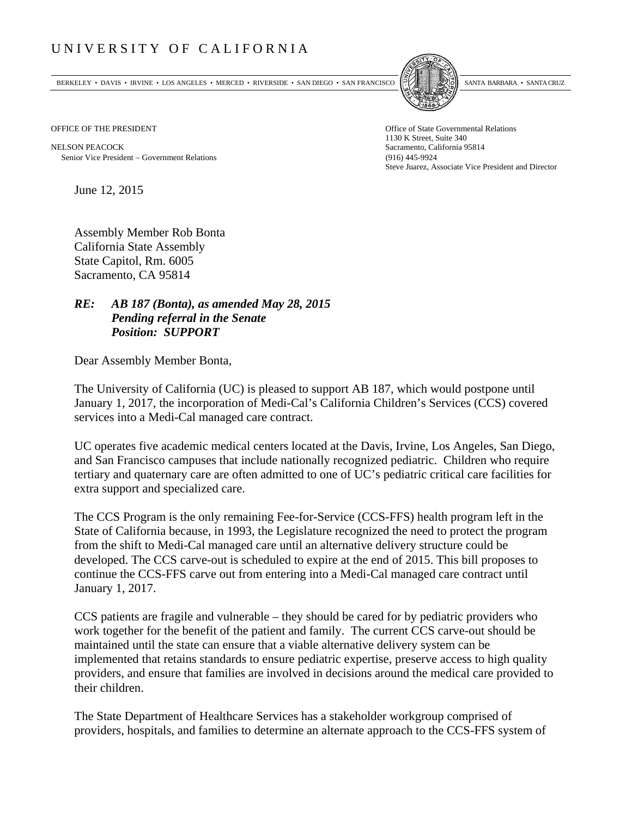## UNIVERSITY OF CALIFORNIA

BERKELEY • DAVIS • IRVINE • LOS ANGELES • MERCED • RIVERSIDE • SAN DIEGO • SAN FRANCISCO SANTA BARBARA • SANTA CRUZ



NELSON PEACOCK Sacramento, California 95814 Senior Vice President Government Relations (916) 445-9924

OFFICE OF THE PRESIDENT STATES OF THE PRESIDENT 1130 K Street, Suite 340 Steve Juarez, Associate Vice President and Director

June 12, 2015

Assembly Member Rob Bonta California State Assembly State Capitol, Rm. 6005 Sacramento, CA 95814

## *RE: AB 187 (Bonta), as amended May 28, 2015 Pending referral in the Senate Position: SUPPORT*

Dear Assembly Member Bonta,

The University of California (UC) is pleased to support AB 187, which would postpone until January 1, 2017, the incorporation of Medi-Cal's California Children's Services (CCS) covered services into a Medi-Cal managed care contract.

UC operates five academic medical centers located at the Davis, Irvine, Los Angeles, San Diego, and San Francisco campuses that include nationally recognized pediatric. Children who require tertiary and quaternary care are often admitted to one of UC's pediatric critical care facilities for extra support and specialized care.

The CCS Program is the only remaining Fee-for-Service (CCS-FFS) health program left in the State of California because, in 1993, the Legislature recognized the need to protect the program from the shift to Medi-Cal managed care until an alternative delivery structure could be developed. The CCS carve-out is scheduled to expire at the end of 2015. This bill proposes to continue the CCS-FFS carve out from entering into a Medi-Cal managed care contract until January 1, 2017.

CCS patients are fragile and vulnerable – they should be cared for by pediatric providers who work together for the benefit of the patient and family. The current CCS carve-out should be maintained until the state can ensure that a viable alternative delivery system can be implemented that retains standards to ensure pediatric expertise, preserve access to high quality providers, and ensure that families are involved in decisions around the medical care provided to their children.

The State Department of Healthcare Services has a stakeholder workgroup comprised of providers, hospitals, and families to determine an alternate approach to the CCS-FFS system of